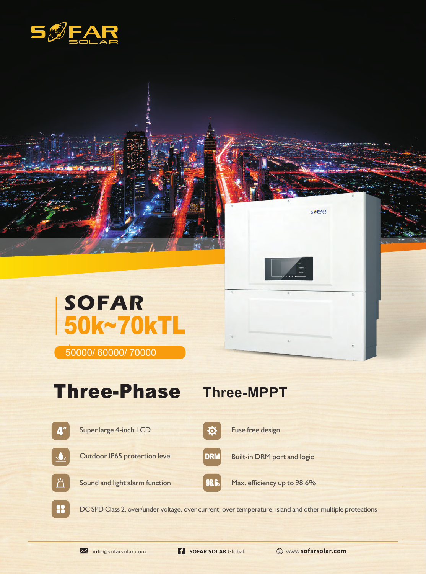

## **SOFAR** 50k~70kTL

50000/ 60000/ 70000

## Three-Phase Three-MPPT



DC SPD Class 2, over/under voltage, over current, over temperature, island and other multiple protections

22

**SOFAR**